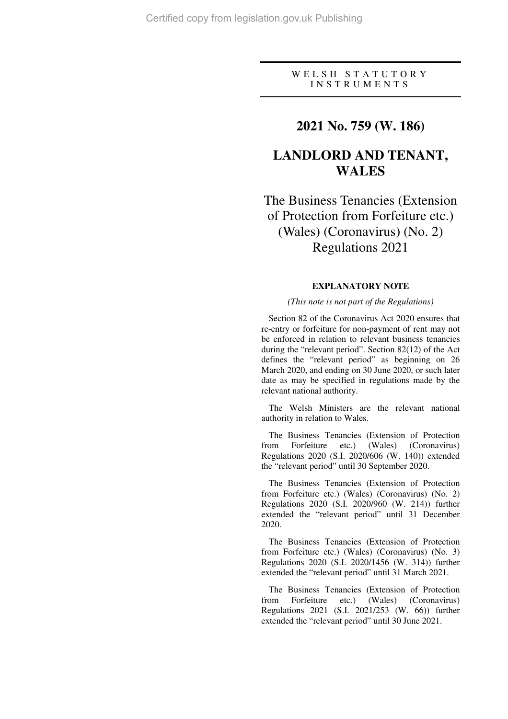### W E L S H S T A T U T O R Y I N S T R U M E N T S

## **2021 No. 759 (W. 186)**

# **LANDLORD AND TENANT, WALES**

# The Business Tenancies (Extension of Protection from Forfeiture etc.) (Wales) (Coronavirus) (No. 2) Regulations 2021

### **EXPLANATORY NOTE**

#### *(This note is not part of the Regulations)*

Section 82 of the Coronavirus Act 2020 ensures that re-entry or forfeiture for non-payment of rent may not be enforced in relation to relevant business tenancies during the "relevant period". Section 82(12) of the Act defines the "relevant period" as beginning on 26 March 2020, and ending on 30 June 2020, or such later date as may be specified in regulations made by the relevant national authority.

The Welsh Ministers are the relevant national authority in relation to Wales.

The Business Tenancies (Extension of Protection from Forfeiture etc.) (Wales) (Coronavirus) Regulations 2020 (S.I. 2020/606 (W. 140)) extended the "relevant period" until 30 September 2020.

The Business Tenancies (Extension of Protection from Forfeiture etc.) (Wales) (Coronavirus) (No. 2) Regulations 2020 (S.I. 2020/960 (W. 214)) further extended the "relevant period" until 31 December 2020.

The Business Tenancies (Extension of Protection from Forfeiture etc.) (Wales) (Coronavirus) (No. 3) Regulations 2020 (S.I. 2020/1456 (W. 314)) further extended the "relevant period" until 31 March 2021.

The Business Tenancies (Extension of Protection from Forfeiture etc.) (Wales) (Coronavirus) Regulations 2021 (S.I. 2021/253 (W. 66)) further extended the "relevant period" until 30 June 2021.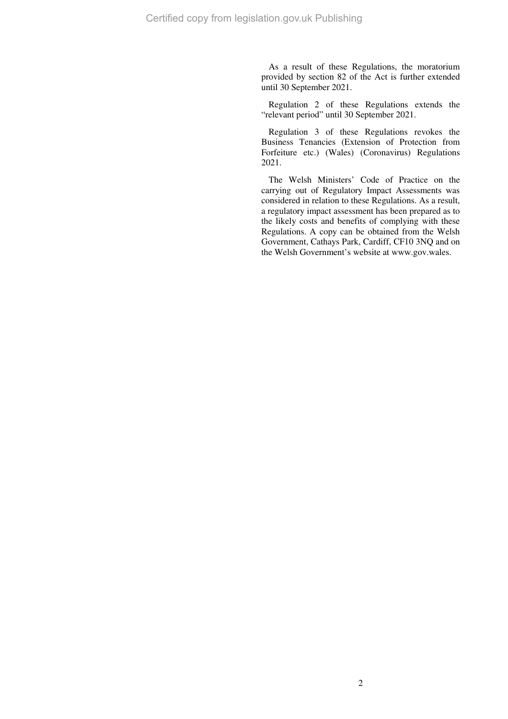As a result of these Regulations, the moratorium provided by section 82 of the Act is further extended until 30 September 2021.

Regulation 2 of these Regulations extends the "relevant period" until 30 September 2021.

Regulation 3 of these Regulations revokes the Business Tenancies (Extension of Protection from Forfeiture etc.) (Wales) (Coronavirus) Regulations 2021.

The Welsh Ministers' Code of Practice on the carrying out of Regulatory Impact Assessments was considered in relation to these Regulations. As a result, a regulatory impact assessment has been prepared as to the likely costs and benefits of complying with these Regulations. A copy can be obtained from the Welsh Government, Cathays Park, Cardiff, CF10 3NQ and on the Welsh Government's website at www.gov.wales.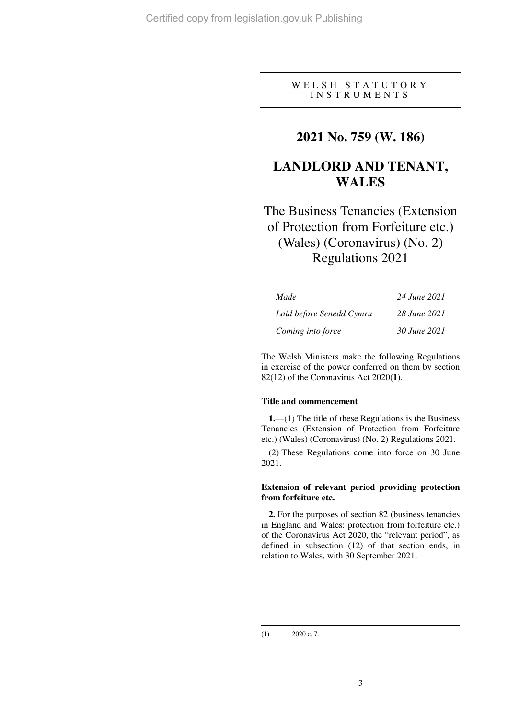W E L S H S T A T U T O R Y I N S T R U M E N T S

## **2021 No. 759 (W. 186)**

# **LANDLORD AND TENANT, WALES**

# The Business Tenancies (Extension of Protection from Forfeiture etc.) (Wales) (Coronavirus) (No. 2) Regulations 2021

| Made                     | 24 June 2021 |
|--------------------------|--------------|
| Laid before Senedd Cymru | 28 June 2021 |
| Coming into force        | 30 June 2021 |

The Welsh Ministers make the following Regulations in exercise of the power conferred on them by section 82(12) of the Coronavirus Act 2020(**1**).

#### **Title and commencement**

**1.**—(1) The title of these Regulations is the Business Tenancies (Extension of Protection from Forfeiture etc.) (Wales) (Coronavirus) (No. 2) Regulations 2021.

(2) These Regulations come into force on 30 June 2021.

### **Extension of relevant period providing protection from forfeiture etc.**

**2.** For the purposes of section 82 (business tenancies in England and Wales: protection from forfeiture etc.) of the Coronavirus Act 2020, the "relevant period", as defined in subsection (12) of that section ends, in relation to Wales, with 30 September 2021.

 $\overline{a}$ (**1**) 2020 c. 7.